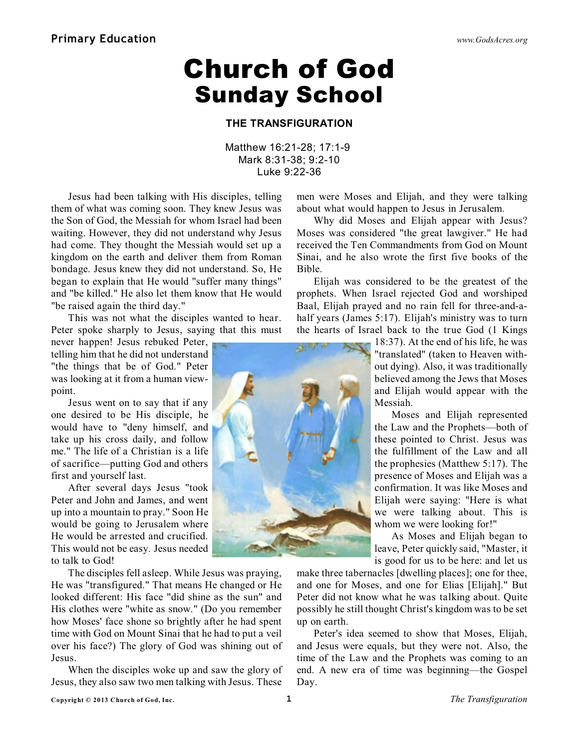## **Church of God Sunday School**

#### **THE TRANSFIGURATION**

Matthew 16:21-28; 17:1-9 Mark 8:31-38; 9:2-10 Luke 9:22-36

Jesus had been talking with His disciples, telling them of what was coming soon. They knew Jesus was the Son of God, the Messiah for whom Israel had been waiting. However, they did not understand why Jesus had come. They thought the Messiah would set up a kingdom on the earth and deliver them from Roman bondage. Jesus knew they did not understand. So, He began to explain that He would "suffer many things" and "be killed." He also let them know that He would "be raised again the third day."

This was not what the disciples wanted to hear. Peter spoke sharply to Jesus, saying that this must

never happen! Jesus rebuked Peter, telling him that he did not understand "the things that be of God." Peter was looking at it from a human viewpoint.

Jesus went on to say that if any one desired to be His disciple, he would have to "deny himself, and take up his cross daily, and follow me." The life of a Christian is a life of sacrifice—putting God and others first and yourself last.

After several days Jesus "took Peter and John and James, and went up into a mountain to pray." Soon He would be going to Jerusalem where He would be arrested and crucified. This would not be easy. Jesus needed to talk to God!

The disciples fell asleep. While Jesus was praying, He was "transfigured." That means He changed or He looked different: His face "did shine as the sun" and His clothes were "white as snow." (Do you remember how Moses' face shone so brightly after he had spent time with God on Mount Sinai that he had to put a veil over his face?) The glory of God was shining out of Jesus.

When the disciples woke up and saw the glory of Jesus, they also saw two men talking with Jesus. These

men were Moses and Elijah, and they were talking about what would happen to Jesus in Jerusalem.

Why did Moses and Elijah appear with Jesus? Moses was considered "the great lawgiver." He had received the Ten Commandments from God on Mount Sinai, and he also wrote the first five books of the Bible.

Elijah was considered to be the greatest of the prophets. When Israel rejected God and worshiped Baal, Elijah prayed and no rain fell for three-and-ahalf years (James 5:17). Elijah's ministry was to turn the hearts of Israel back to the true God (1 Kings

> 18:37). At the end of his life, he was "translated" (taken to Heaven without dying). Also, it was traditionally believed among the Jews that Moses and Elijah would appear with the Messiah.

Moses and Elijah represented the Law and the Prophets—both of these pointed to Christ. Jesus was the fulfillment of the Law and all the prophesies (Matthew 5:17). The presence of Moses and Elijah was a confirmation. It was like Moses and Elijah were saying: "Here is what we were talking about. This is whom we were looking for!"

As Moses and Elijah began to leave, Peter quickly said, "Master, it is good for us to be here: and let us

make three tabernacles [dwelling places]; one for thee, and one for Moses, and one for Elias [Elijah]." But Peter did not know what he was talking about. Quite possibly he still thought Christ's kingdom was to be set up on earth.

Peter's idea seemed to show that Moses, Elijah, and Jesus were equals, but they were not. Also, the time of the Law and the Prophets was coming to an end. A new era of time was beginning—the Gospel Day.



з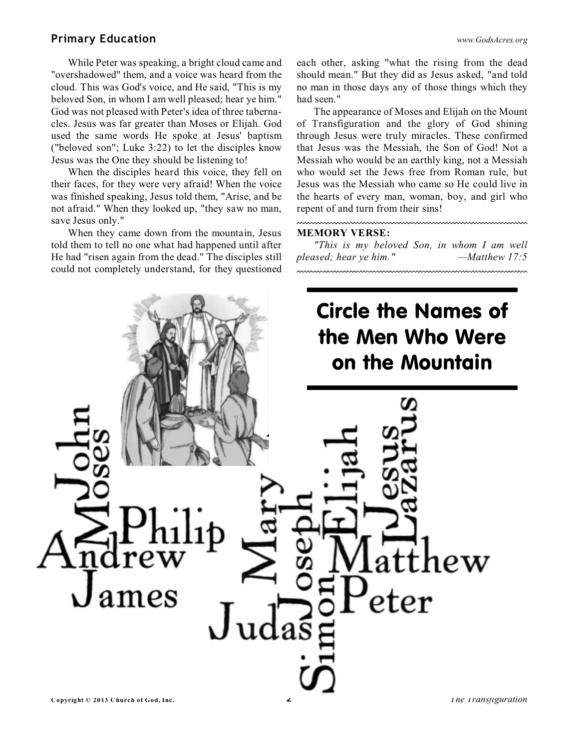### **Primary Education** *[www.GodsAcres.org](http://godsacres.org)*

While Peter was speaking, a bright cloud came and "overshadowed" them, and a voice was heard from the cloud. This was God's voice, and He said, "This is my beloved Son, in whom I am well pleased; hear ye him." God was not pleased with Peter's idea of three tabernacles. Jesus was far greater than Moses or Elijah. God used the same words He spoke at Jesus' baptism ("beloved son"; Luke 3:22) to let the disciples know Jesus was the One they should be listening to!

When the disciples heard this voice, they fell on their faces, for they were very afraid! When the voice was finished speaking, Jesus told them, "Arise, and be not afraid." When they looked up, "they saw no man, save Jesus only."

When they came down from the mountain, Jesus told them to tell no one what had happened until after He had "risen again from the dead." The disciples still could not completely understand, for they questioned

each other, asking "what the rising from the dead should mean." But they did as Jesus asked, "and told no man in those days any of those things which they had seen."

The appearance of Moses and Elijah on the Mount of Transfiguration and the glory of God shining through Jesus were truly miracles. These confirmed that Jesus was the Messiah, the Son of God! Not a Messiah who would be an earthly king, not a Messiah who would set the Jews free from Roman rule, but Jesus was the Messiah who came so He could live in the hearts of every man, woman, boy, and girl who repent of and turn from their sins!

#### **MEMORY VERSE:**

*"This is my beloved Son, in whom I am well pleased; hear ye him." —Matthew 17:5*